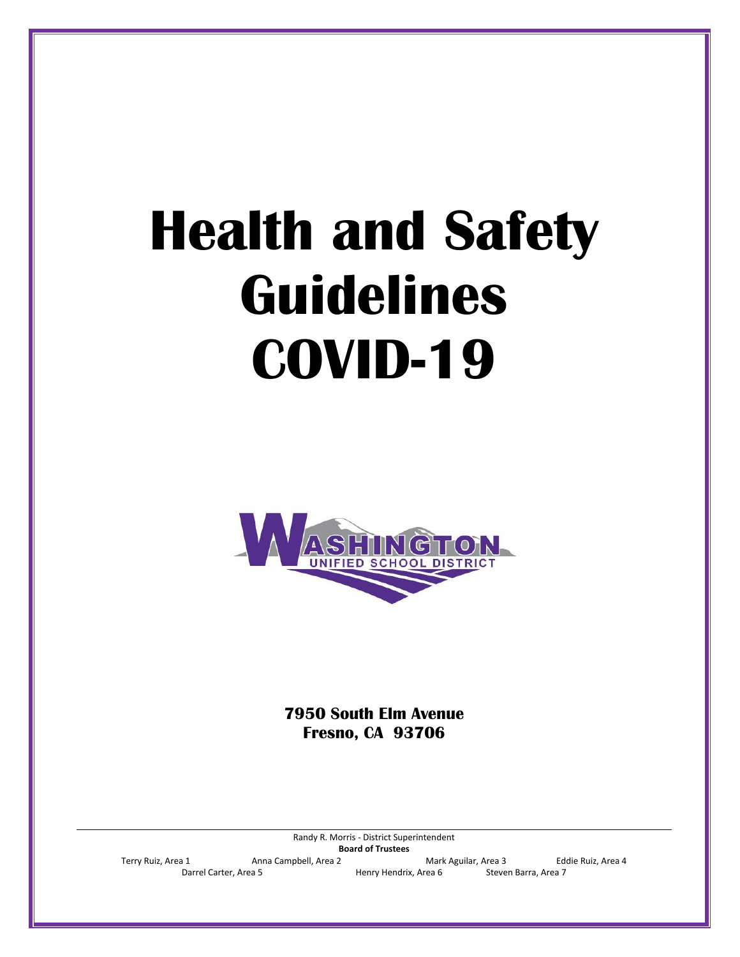# **Health and Safety Guidelines COVID-19**



**7950 South Elm Avenue Fresno, CA 93706**

Randy R. Morris - District Superintendent **Board of Trustees** Terry Ruiz, Area 1 Anna Campbell, Area 2 Mark Aguilar, Area 3 Eddie Ruiz, Area 4 Darrel Carter, Area 5 Henry Hendrix, Area 6 Steven Barra, Area 7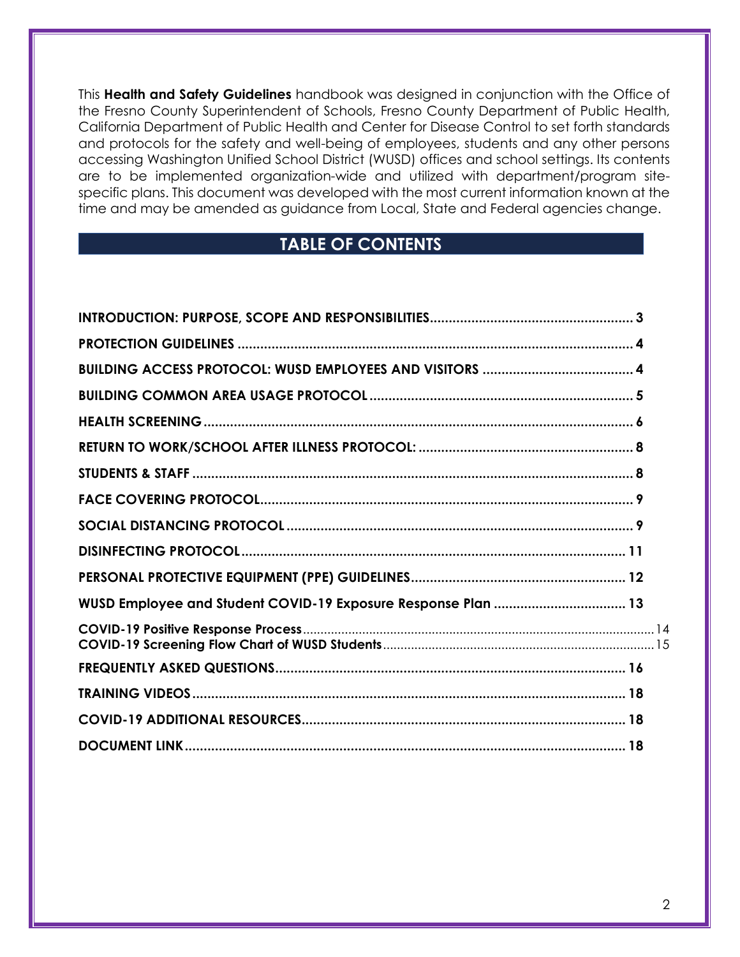This **Health and Safety Guidelines** handbook was designed in conjunction with the Office of the Fresno County Superintendent of Schools, Fresno County Department of Public Health, California Department of Public Health and Center for Disease Control to set forth standards and protocols for the safety and well-being of employees, students and any other persons accessing Washington Unified School District (WUSD) offices and school settings. Its contents are to be implemented organization-wide and utilized with department/program sitespecific plans. This document was developed with the most current information known at the time and may be amended as guidance from Local, State and Federal agencies change.

## **TABLE OF CONTENTS**

| WUSD Employee and Student COVID-19 Exposure Response Plan  13 |  |
|---------------------------------------------------------------|--|
|                                                               |  |
|                                                               |  |
|                                                               |  |
|                                                               |  |
|                                                               |  |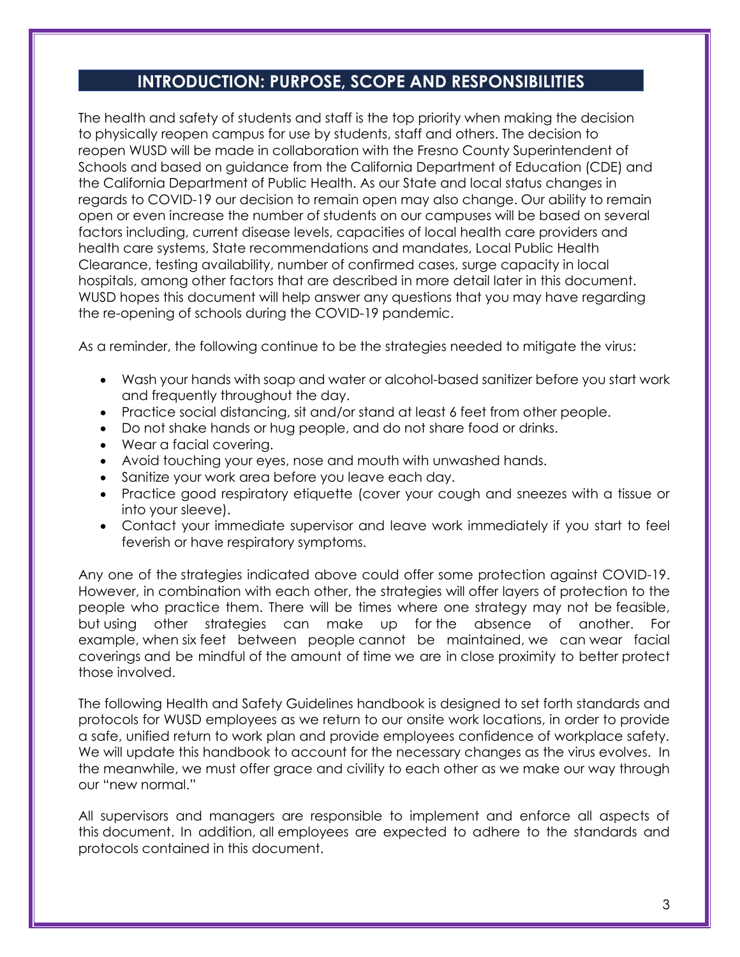## **INTRODUCTION: PURPOSE, SCOPE AND RESPONSIBILITIES**

<span id="page-2-0"></span>The health and safety of students and staff is the top priority when making the decision to physically reopen campus for use by students, staff and others. The decision to reopen WUSD will be made in collaboration with the Fresno County Superintendent of Schools and based on guidance from the California Department of Education (CDE) and the California Department of Public Health. As our State and local status changes in regards to COVID-19 our decision to remain open may also change. Our ability to remain open or even increase the number of students on our campuses will be based on several factors including, current disease levels, capacities of local health care providers and health care systems, State recommendations and mandates, Local Public Health Clearance, testing availability, number of confirmed cases, surge capacity in local hospitals, among other factors that are described in more detail later in this document. WUSD hopes this document will help answer any questions that you may have regarding the re-opening of schools during the COVID-19 pandemic.

As a reminder, the following continue to be the strategies needed to mitigate the virus:

- Wash your hands with soap and water or alcohol-based sanitizer before you start work and frequently throughout the day.
- Practice social distancing, sit and/or stand at least 6 feet from other people.
- Do not shake hands or hug people, and do not share food or drinks.
- Wear a facial covering.
- Avoid touching your eyes, nose and mouth with unwashed hands.
- Sanitize your work area before you leave each day.
- Practice good respiratory etiquette (cover your cough and sneezes with a tissue or into your sleeve).
- Contact your immediate supervisor and leave work immediately if you start to feel feverish or have respiratory symptoms.

Any one of the strategies indicated above could offer some protection against COVID-19. However, in combination with each other, the strategies will offer layers of protection to the people who practice them. There will be times where one strategy may not be feasible, but using other strategies can make up for the absence of another. For example, when six feet between people cannot be maintained, we can wear facial coverings and be mindful of the amount of time we are in close proximity to better protect those involved.

The following Health and Safety Guidelines handbook is designed to set forth standards and protocols for WUSD employees as we return to our onsite work locations, in order to provide a safe, unified return to work plan and provide employees confidence of workplace safety. We will update this handbook to account for the necessary changes as the virus evolves. In the meanwhile, we must offer grace and civility to each other as we make our way through our "new normal."

All supervisors and managers are responsible to implement and enforce all aspects of this document. In addition, all employees are expected to adhere to the standards and protocols contained in this document.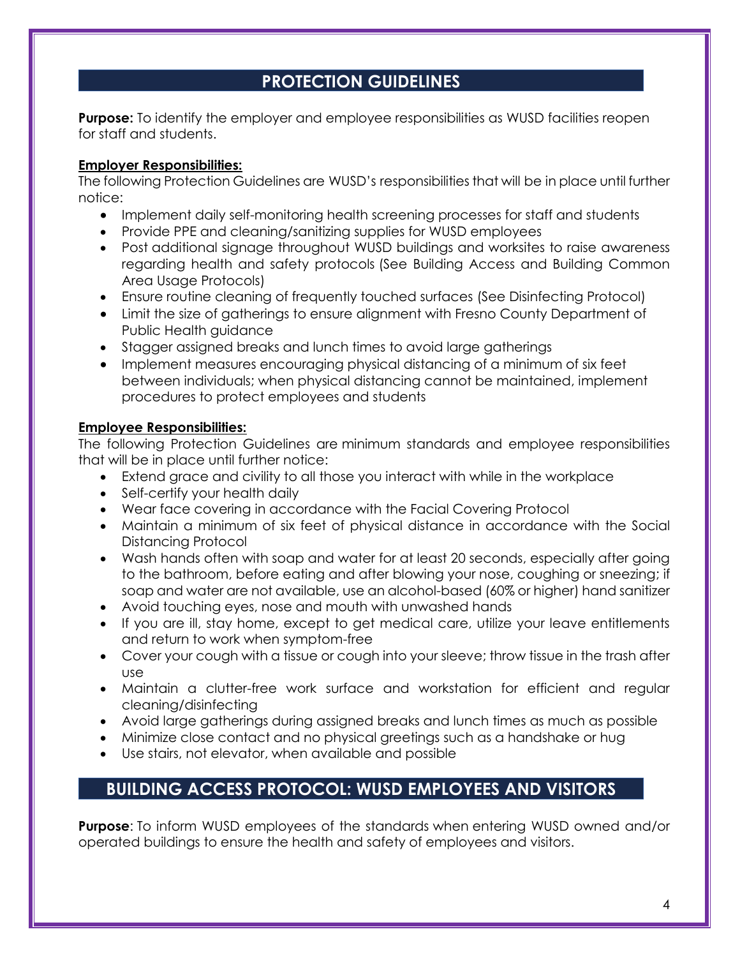## **PROTECTION GUIDELINES**

<span id="page-3-0"></span>**Purpose:** To identify the employer and employee responsibilities as WUSD facilities reopen for staff and students.

#### **Employer Responsibilities:**

The following Protection Guidelines are WUSD's responsibilities that will be in place until further notice:

- Implement daily self-monitoring health screening processes for staff and students
- Provide PPE and cleaning/sanitizing supplies for WUSD employees
- Post additional signage throughout WUSD buildings and worksites to raise awareness regarding health and safety protocols (See Building Access and Building Common Area Usage Protocols)
- Ensure routine cleaning of frequently touched surfaces (See Disinfecting Protocol)
- Limit the size of gatherings to ensure alignment with Fresno County Department of Public Health guidance
- Stagger assigned breaks and lunch times to avoid large gatherings
- Implement measures encouraging physical distancing of a minimum of six feet between individuals; when physical distancing cannot be maintained, implement procedures to protect employees and students

#### **Employee Responsibilities:**

The following Protection Guidelines are minimum standards and employee responsibilities that will be in place until further notice:

- Extend grace and civility to all those you interact with while in the workplace
- Self-certify your health daily
- Wear face covering in accordance with the Facial Covering Protocol
- Maintain a minimum of six feet of physical distance in accordance with the Social Distancing Protocol
- Wash hands often with soap and water for at least 20 seconds, especially after going to the bathroom, before eating and after blowing your nose, coughing or sneezing; if soap and water are not available, use an alcohol-based (60% or higher) hand sanitizer
- Avoid touching eyes, nose and mouth with unwashed hands
- If you are ill, stay home, except to get medical care, utilize your leave entitlements and return to work when symptom-free
- Cover your cough with a tissue or cough into your sleeve; throw tissue in the trash after use
- Maintain a clutter-free work surface and workstation for efficient and regular cleaning/disinfecting
- Avoid large gatherings during assigned breaks and lunch times as much as possible
- Minimize close contact and no physical greetings such as a handshake or hug
- Use stairs, not elevator, when available and possible

## <span id="page-3-1"></span>**BUILDING ACCESS PROTOCOL: WUSD EMPLOYEES AND VISITORS**

**Purpose**: To inform WUSD employees of the standards when entering WUSD owned and/or operated buildings to ensure the health and safety of employees and visitors.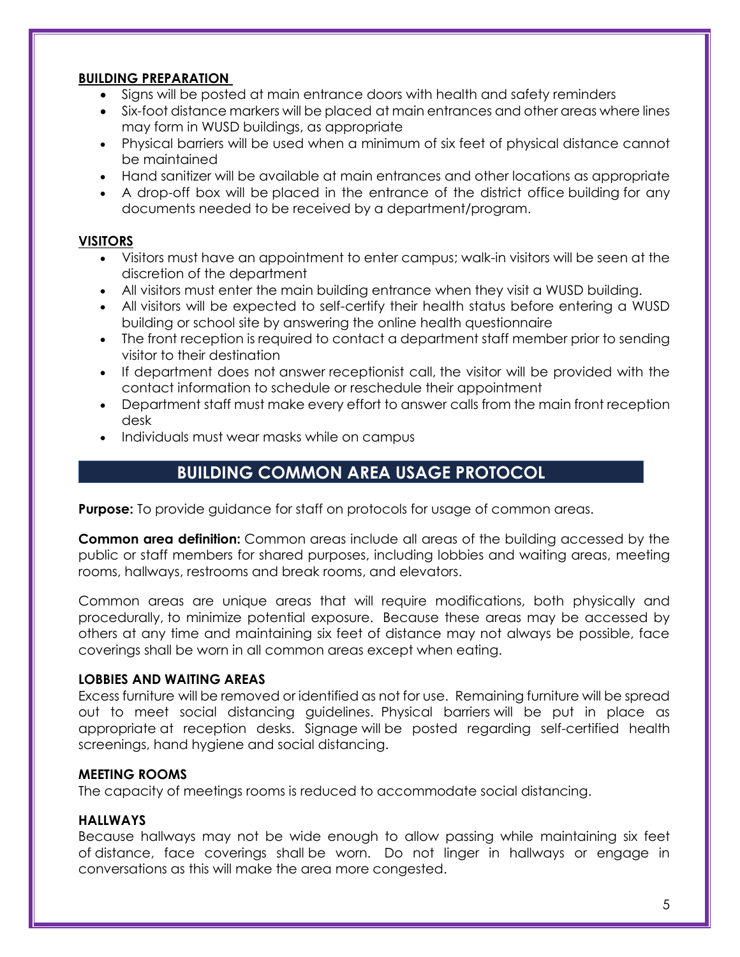#### **BUILDING PREPARATION**

- Signs will be posted at main entrance doors with health and safety reminders
- Six-foot distance markers will be placed at main entrances and other areas where lines may form in WUSD buildings, as appropriate
- Physical barriers will be used when a minimum of six feet of physical distance cannot be maintained
- Hand sanitizer will be available at main entrances and other locations as appropriate
- A drop-off box will be placed in the entrance of the district office building for any documents needed to be received by a department/program.

#### **VISITORS**

- Visitors must have an appointment to enter campus; walk-in visitors will be seen at the discretion of the department
- All visitors must enter the main building entrance when they visit a WUSD building.
- All visitors will be expected to self-certify their health status before entering a WUSD building or school site by answering the online health questionnaire
- The front reception is required to contact a department staff member prior to sending visitor to their destination
- If department does not answer receptionist call, the visitor will be provided with the contact information to schedule or reschedule their appointment
- Department staff must make every effort to answer calls from the main front reception desk
- <span id="page-4-0"></span>• Individuals must wear masks while on campus

## **BUILDING COMMON AREA USAGE PROTOCOL**

**Purpose:** To provide guidance for staff on protocols for usage of common areas.

**Common area definition:** Common areas include all areas of the building accessed by the public or staff members for shared purposes, including lobbies and waiting areas, meeting rooms, hallways, restrooms and break rooms, and elevators.

Common areas are unique areas that will require modifications, both physically and procedurally, to minimize potential exposure. Because these areas may be accessed by others at any time and maintaining six feet of distance may not always be possible, face coverings shall be worn in all common areas except when eating.

#### **LOBBIES AND WAITING AREAS**

Excess furniture will be removed or identified as not for use. Remaining furniture will be spread out to meet social distancing guidelines. Physical barriers will be put in place as appropriate at reception desks. Signage will be posted regarding self-certified health screenings, hand hygiene and social distancing.

#### **MEETING ROOMS**

The capacity of meetings rooms is reduced to accommodate social distancing.

#### **HALLWAYS**

Because hallways may not be wide enough to allow passing while maintaining six feet of distance, face coverings shall be worn. Do not linger in hallways or engage in conversations as this will make the area more congested.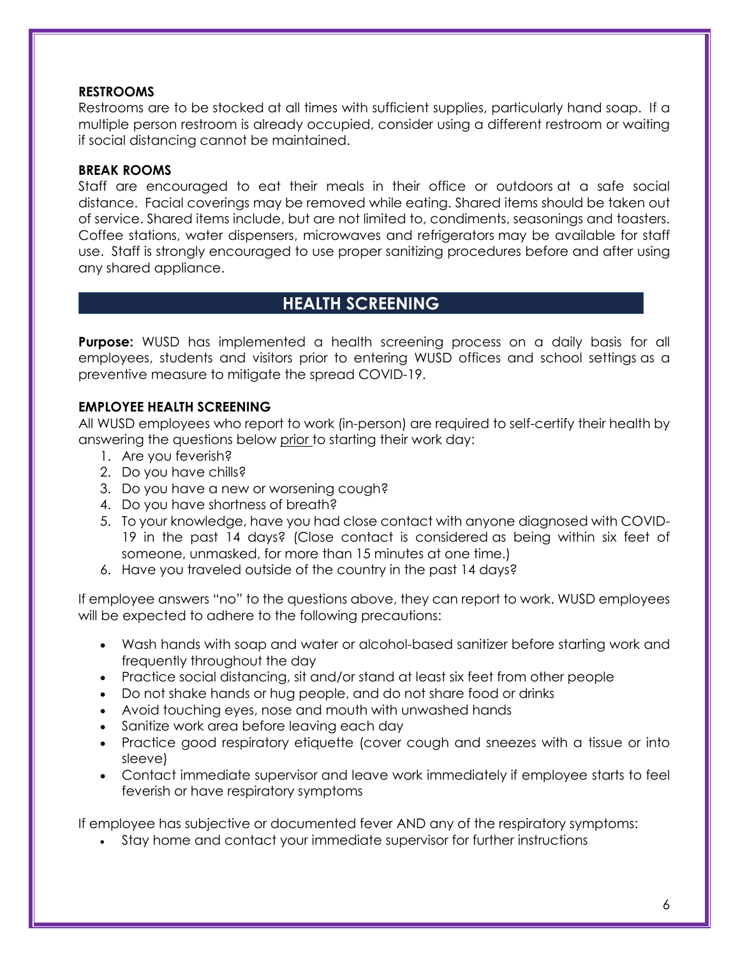#### **RESTROOMS**

Restrooms are to be stocked at all times with sufficient supplies, particularly hand soap. If a multiple person restroom is already occupied, consider using a different restroom or waiting if social distancing cannot be maintained.

#### **BREAK ROOMS**

Staff are encouraged to eat their meals in their office or outdoors at a safe social distance. Facial coverings may be removed while eating. Shared items should be taken out of service. Shared items include, but are not limited to, condiments, seasonings and toasters. Coffee stations, water dispensers, microwaves and refrigerators may be available for staff use. Staff is strongly encouraged to use proper sanitizing procedures before and after using any shared appliance.

## **HEALTH SCREENING**

<span id="page-5-0"></span>**Purpose:** WUSD has implemented a health screening process on a daily basis for all employees, students and visitors prior to entering WUSD offices and school settings as a preventive measure to mitigate the spread COVID-19.

#### **EMPLOYEE HEALTH SCREENING**

All WUSD employees who report to work (in-person) are required to self-certify their health by answering the questions below prior to starting their work day:

- 1. Are you feverish?
- 2. Do you have chills?
- 3. Do you have a new or worsening cough?
- 4. Do you have shortness of breath?
- 5. To your knowledge, have you had close contact with anyone diagnosed with COVID-19 in the past 14 days? (Close contact is considered as being within six feet of someone, unmasked, for more than 15 minutes at one time.)
- 6. Have you traveled outside of the country in the past 14 days?

If employee answers "no" to the questions above, they can report to work. WUSD employees will be expected to adhere to the following precautions:

- Wash hands with soap and water or alcohol-based sanitizer before starting work and frequently throughout the day
- Practice social distancing, sit and/or stand at least six feet from other people
- Do not shake hands or hug people, and do not share food or drinks
- Avoid touching eyes, nose and mouth with unwashed hands
- Sanitize work area before leaving each day
- Practice good respiratory etiquette (cover cough and sneezes with a tissue or into sleeve)
- Contact immediate supervisor and leave work immediately if employee starts to feel feverish or have respiratory symptoms

If employee has subjective or documented fever AND any of the respiratory symptoms:

Stay home and contact your immediate supervisor for further instructions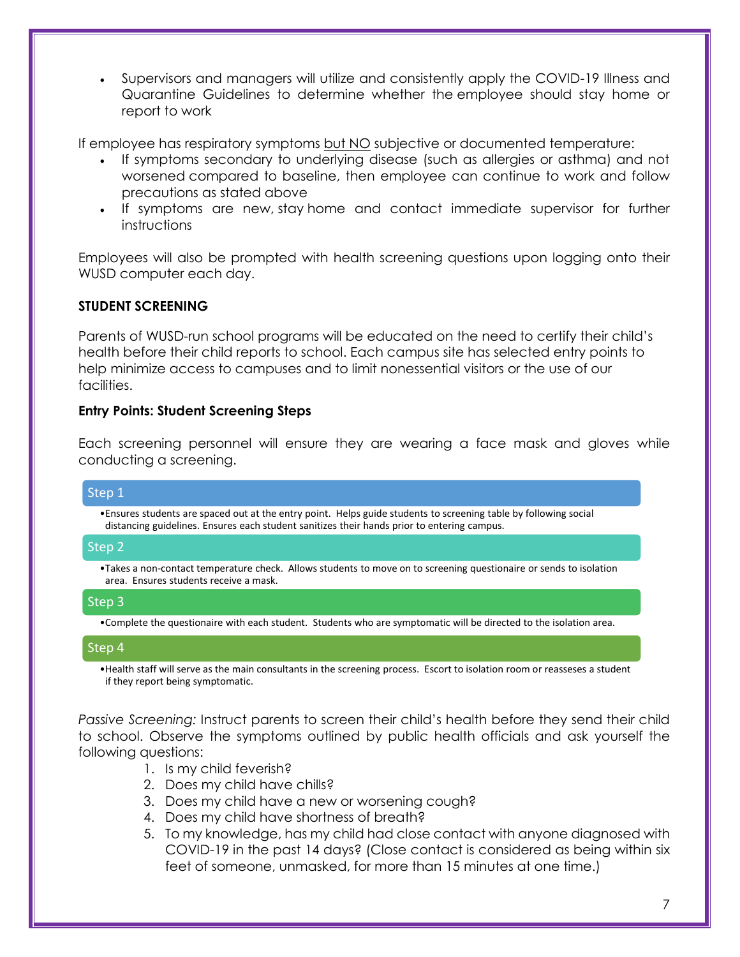Supervisors and managers will utilize and consistently apply the COVID-19 Illness and Quarantine Guidelines to determine whether the employee should stay home or report to work

If employee has respiratory symptoms but NO subjective or documented temperature:

- If symptoms secondary to underlying disease (such as allergies or asthma) and not worsened compared to baseline, then employee can continue to work and follow precautions as stated above
- If symptoms are new, stay home and contact immediate supervisor for further instructions

Employees will also be prompted with health screening questions upon logging onto their WUSD computer each day.

#### **STUDENT SCREENING**

Parents of WUSD-run school programs will be educated on the need to certify their child's health before their child reports to school. Each campus site has selected entry points to help minimize access to campuses and to limit nonessential visitors or the use of our facilities.

#### **Entry Points: Student Screening Steps**

Each screening personnel will ensure they are wearing a face mask and gloves while conducting a screening.

#### Step 1

•Ensures students are spaced out at the entry point. Helps guide students to screening table by following social distancing guidelines. Ensures each student sanitizes their hands prior to entering campus.

#### Step 2

•Takes a non-contact temperature check. Allows students to move on to screening questionaire or sends to isolation area. Ensures students receive a mask.

#### Step 3

•Complete the questionaire with each student. Students who are symptomatic will be directed to the isolation area.

#### Step 4

•Health staff will serve as the main consultants in the screening process. Escort to isolation room or reasseses a student if they report being symptomatic.

*Passive Screening:* Instruct parents to screen their child's health before they send their child to school. Observe the symptoms outlined by public health officials and ask yourself the following questions:

- 1. Is my child feverish?
- 2. Does my child have chills?
- 3. Does my child have a new or worsening cough?
- 4. Does my child have shortness of breath?
- 5. To my knowledge, has my child had close contact with anyone diagnosed with COVID-19 in the past 14 days? (Close contact is considered as being within six feet of someone, unmasked, for more than 15 minutes at one time.)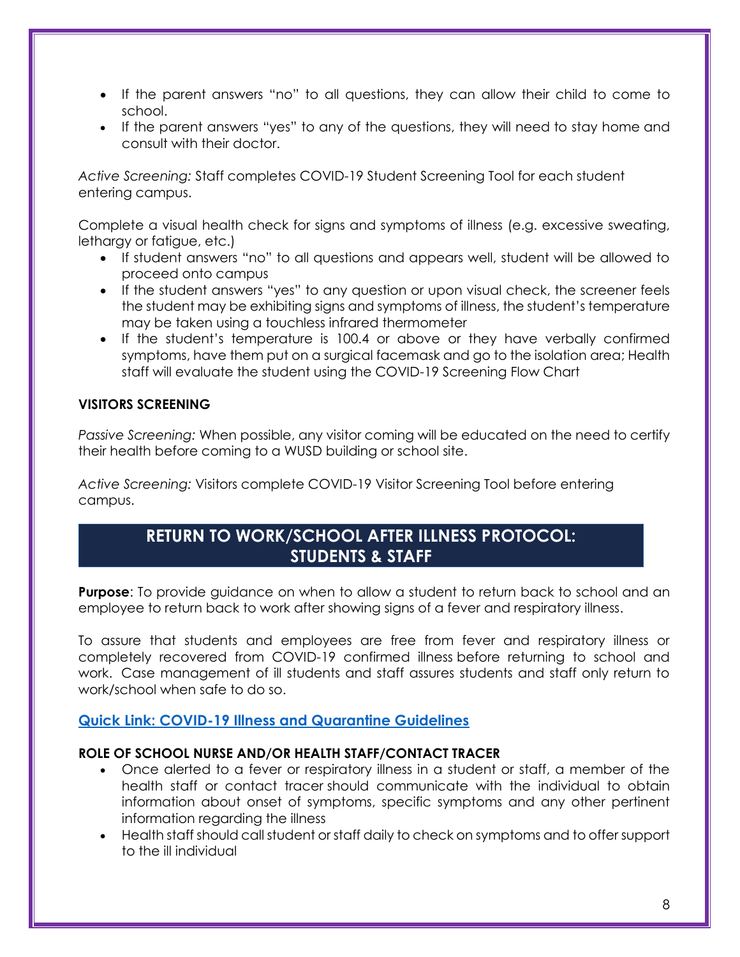- If the parent answers "no" to all questions, they can allow their child to come to school.
- If the parent answers "yes" to any of the questions, they will need to stay home and consult with their doctor.

*Active Screening:* Staff completes COVID-19 Student Screening Tool for each student entering campus.

Complete a visual health check for signs and symptoms of illness (e.g. excessive sweating, lethargy or fatigue, etc.)

- If student answers "no" to all questions and appears well, student will be allowed to proceed onto campus
- If the student answers "yes" to any question or upon visual check, the screener feels the student may be exhibiting signs and symptoms of illness, the student's temperature may be taken using a touchless infrared thermometer
- If the student's temperature is 100.4 or above or they have verbally confirmed symptoms, have them put on a surgical facemask and go to the isolation area; Health staff will evaluate the student using the COVID-19 Screening Flow Chart

#### **VISITORS SCREENING**

*Passive Screening:* When possible, any visitor coming will be educated on the need to certify their health before coming to a WUSD building or school site.

<span id="page-7-0"></span>*Active Screening:* Visitors complete COVID-19 Visitor Screening Tool before entering campus.

## **RETURN TO WORK/SCHOOL AFTER ILLNESS PROTOCOL: STUDENTS & STAFF**

<span id="page-7-1"></span>**Purpose**: To provide guidance on when to allow a student to return back to school and an employee to return back to work after showing signs of a fever and respiratory illness.

To assure that students and employees are free from fever and respiratory illness or completely recovered from COVID-19 confirmed illness before returning to school and work. Case management of ill students and staff assures students and staff only return to work/school when safe to do so.

#### **[Quick Link: COVID-19 Illness and Quarantine Guidelines](https://docs.google.com/document/d/1CKNui7HNGwLACiXoufwAYRcnqojmz0HPk3Cc4SGYQKI/edit)**

#### **ROLE OF SCHOOL NURSE AND/OR HEALTH STAFF/CONTACT TRACER**

- Once alerted to a fever or respiratory illness in a student or staff, a member of the health staff or contact tracer should communicate with the individual to obtain information about onset of symptoms, specific symptoms and any other pertinent information regarding the illness
- Health staff should call student or staff daily to check on symptoms and to offer support to the ill individual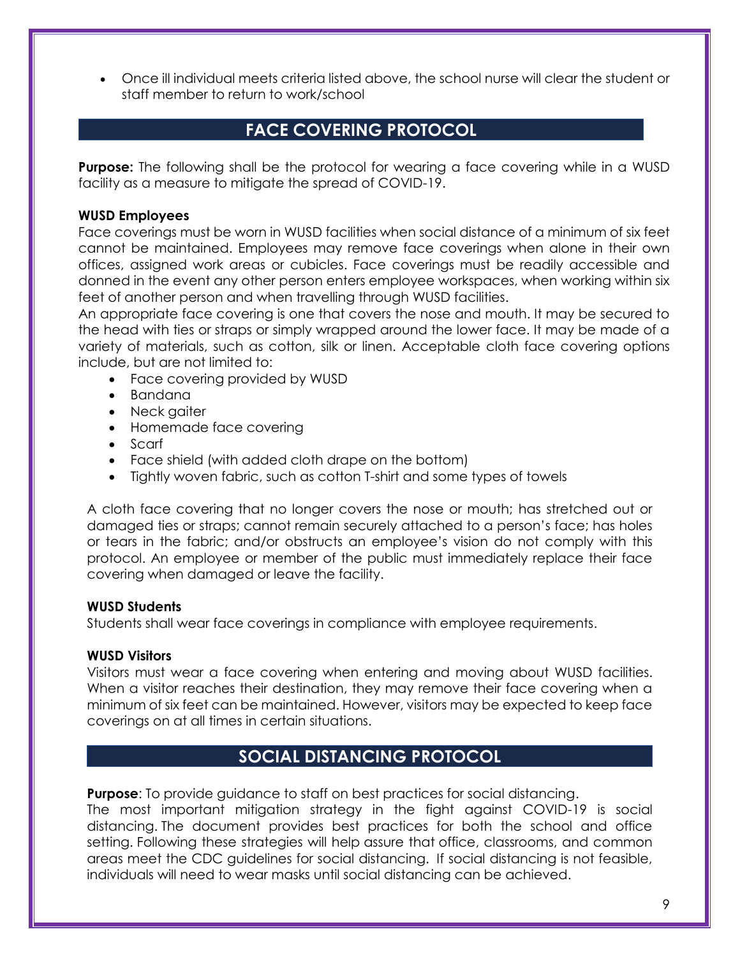Once ill individual meets criteria listed above, the school nurse will clear the student or staff member to return to work/school

## **FACE COVERING PROTOCOL**

<span id="page-8-0"></span>**Purpose:** The following shall be the protocol for wearing a face covering while in a WUSD facility as a measure to mitigate the spread of COVID-19.

#### **WUSD Employees**

Face coverings must be worn in WUSD facilities when social distance of a minimum of six feet cannot be maintained. Employees may remove face coverings when alone in their own offices, assigned work areas or cubicles. Face coverings must be readily accessible and donned in the event any other person enters employee workspaces, when working within six feet of another person and when travelling through WUSD facilities.

An appropriate face covering is one that covers the nose and mouth. It may be secured to the head with ties or straps or simply wrapped around the lower face. It may be made of a variety of materials, such as cotton, silk or linen. Acceptable cloth face covering options include, but are not limited to:

- Face covering provided by WUSD
- Bandana
- Neck gaiter
- Homemade face covering
- Scarf
- Face shield (with added cloth drape on the bottom)
- Tightly woven fabric, such as cotton T-shirt and some types of towels

A cloth face covering that no longer covers the nose or mouth; has stretched out or damaged ties or straps; cannot remain securely attached to a person's face; has holes or tears in the fabric; and/or obstructs an employee's vision do not comply with this protocol. An employee or member of the public must immediately replace their face covering when damaged or leave the facility.

#### **WUSD Students**

Students shall wear face coverings in compliance with employee requirements.

#### **WUSD Visitors**

Visitors must wear a face covering when entering and moving about WUSD facilities. When a visitor reaches their destination, they may remove their face covering when a minimum of six feet can be maintained. However, visitors may be expected to keep face coverings on at all times in certain situations.

## **SOCIAL DISTANCING PROTOCOL**

<span id="page-8-1"></span>**Purpose**: To provide guidance to staff on best practices for social distancing.

The most important mitigation strategy in the fight against COVID-19 is social distancing. The document provides best practices for both the school and office setting. Following these strategies will help assure that office, classrooms, and common areas meet the CDC guidelines for social distancing. If social distancing is not feasible, individuals will need to wear masks until social distancing can be achieved.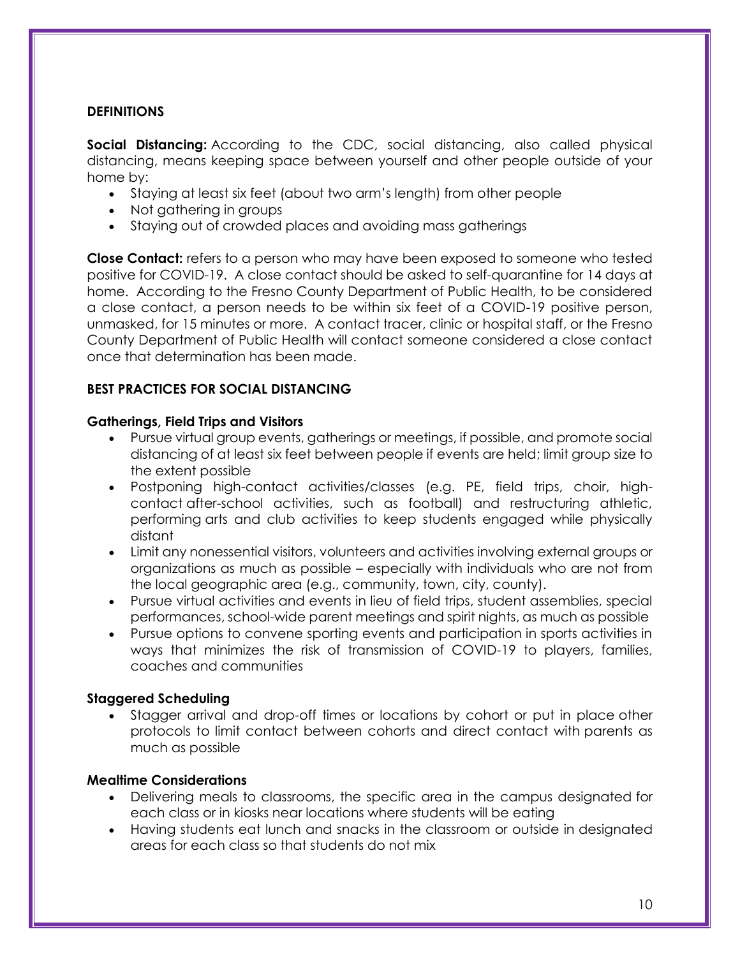#### **DEFINITIONS**

**Social Distancing:** According to the CDC, social distancing, also called physical distancing, means keeping space between yourself and other people outside of your home by:

- Staying at least six feet (about two arm's length) from other people
- Not gathering in groups
- Staying out of crowded places and avoiding mass gatherings

**Close Contact:** refers to a person who may have been exposed to someone who tested positive for COVID-19. A close contact should be asked to self-quarantine for 14 days at home. According to the Fresno County Department of Public Health, to be considered a close contact, a person needs to be within six feet of a COVID-19 positive person, unmasked, for 15 minutes or more. A contact tracer, clinic or hospital staff, or the Fresno County Department of Public Health will contact someone considered a close contact once that determination has been made.

#### **BEST PRACTICES FOR SOCIAL DISTANCING**

#### **Gatherings, Field Trips and Visitors**

- Pursue virtual group events, gatherings or meetings, if possible, and promote social distancing of at least six feet between people if events are held; limit group size to the extent possible
- Postponing high-contact activities/classes (e.g. PE, field trips, choir, highcontact after-school activities, such as football) and restructuring athletic, performing arts and club activities to keep students engaged while physically distant
- Limit any nonessential visitors, volunteers and activities involving external groups or organizations as much as possible – especially with individuals who are not from the local geographic area (e.g., community, town, city, county).
- Pursue virtual activities and events in lieu of field trips, student assemblies, special performances, school-wide parent meetings and spirit nights, as much as possible
- Pursue options to convene sporting events and participation in sports activities in ways that minimizes the risk of transmission of COVID-19 to players, families, coaches and communities

#### **Staggered Scheduling**

 Stagger arrival and drop-off times or locations by cohort or put in place other protocols to limit contact between cohorts and direct contact with parents as much as possible

#### **Mealtime Considerations**

- Delivering meals to classrooms, the specific area in the campus designated for each class or in kiosks near locations where students will be eating
- Having students eat lunch and snacks in the classroom or outside in designated areas for each class so that students do not mix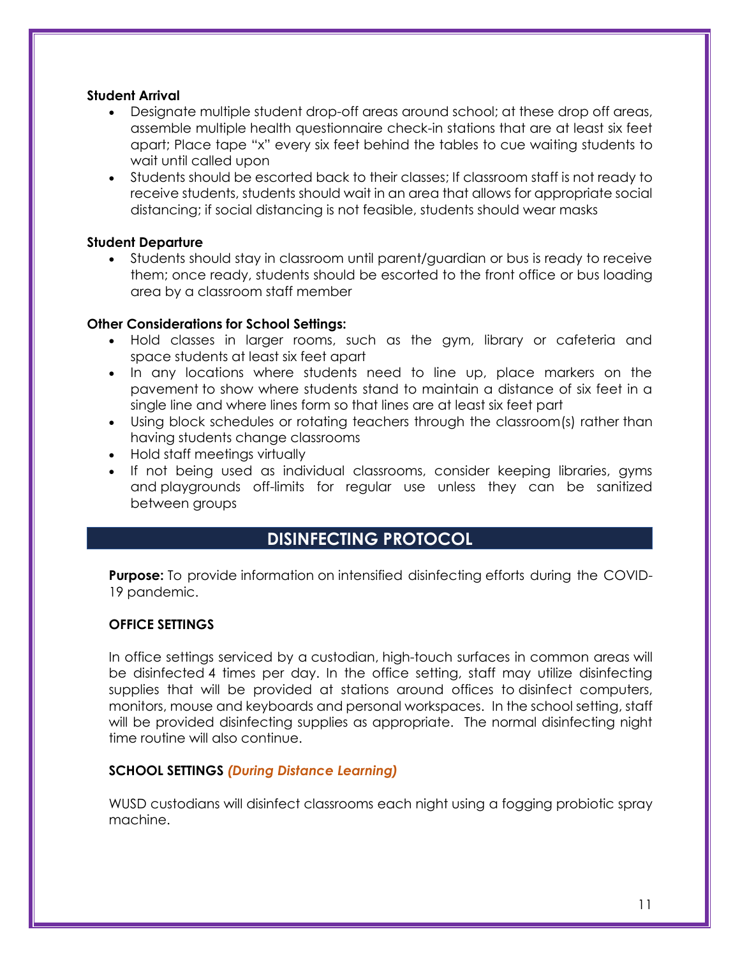#### **Student Arrival**

- Designate multiple student drop-off areas around school; at these drop off areas, assemble multiple health questionnaire check-in stations that are at least six feet apart; Place tape "x" every six feet behind the tables to cue waiting students to wait until called upon
- Students should be escorted back to their classes; If classroom staff is not ready to receive students, students should wait in an area that allows for appropriate social distancing; if social distancing is not feasible, students should wear masks

#### **Student Departure**

 Students should stay in classroom until parent/guardian or bus is ready to receive them; once ready, students should be escorted to the front office or bus loading area by a classroom staff member

#### **Other Considerations for School Settings:**

- Hold classes in larger rooms, such as the gym, library or cafeteria and space students at least six feet apart
- In any locations where students need to line up, place markers on the pavement to show where students stand to maintain a distance of six feet in a single line and where lines form so that lines are at least six feet part
- Using block schedules or rotating teachers through the classroom(s) rather than having students change classrooms
- Hold staff meetings virtually
- If not being used as individual classrooms, consider keeping libraries, gyms and playgrounds off-limits for regular use unless they can be sanitized between groups

# **DISINFECTING PROTOCOL**

<span id="page-10-0"></span>**Purpose:** To provide information on intensified disinfecting efforts during the COVID-19 pandemic.

#### **OFFICE SETTINGS**

In office settings serviced by a custodian, high-touch surfaces in common areas will be disinfected 4 times per day. In the office setting, staff may utilize disinfecting supplies that will be provided at stations around offices to disinfect computers, monitors, mouse and keyboards and personal workspaces. In the school setting, staff will be provided disinfecting supplies as appropriate. The normal disinfecting night time routine will also continue.

#### **SCHOOL SETTINGS** *(During Distance Learning)*

WUSD custodians will disinfect classrooms each night using a fogging probiotic spray machine.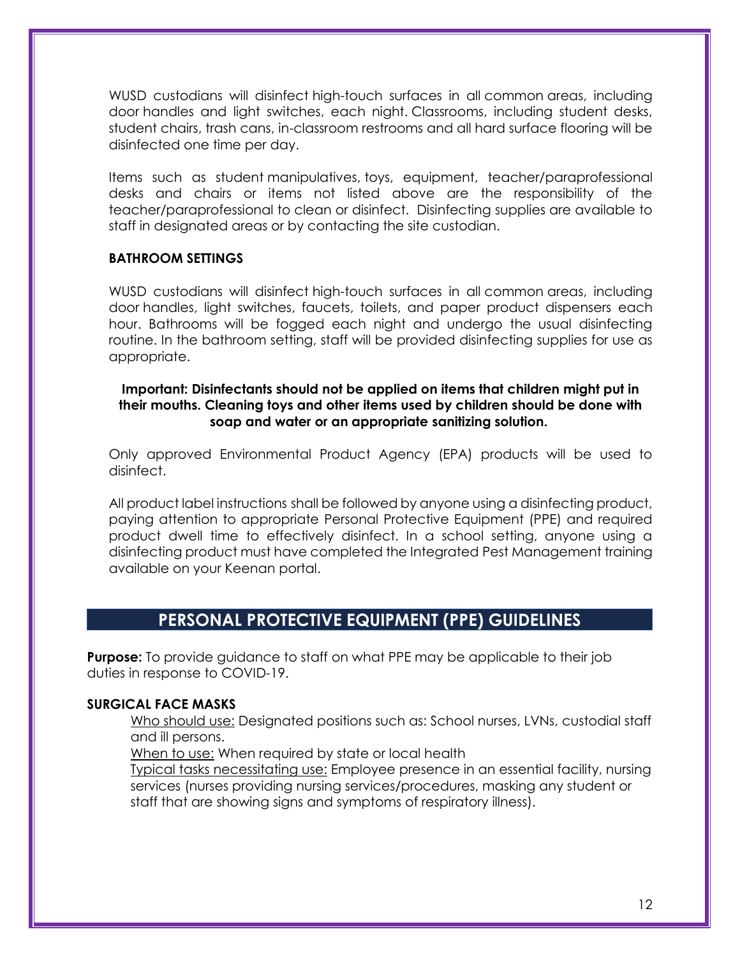WUSD custodians will disinfect high-touch surfaces in all common areas, including door handles and light switches, each night. Classrooms, including student desks, student chairs, trash cans, in-classroom restrooms and all hard surface flooring will be disinfected one time per day.

Items such as student manipulatives, toys, equipment, teacher/paraprofessional desks and chairs or items not listed above are the responsibility of the teacher/paraprofessional to clean or disinfect. Disinfecting supplies are available to staff in designated areas or by contacting the site custodian.

#### **BATHROOM SETTINGS**

WUSD custodians will disinfect high-touch surfaces in all common areas, including door handles, light switches, faucets, toilets, and paper product dispensers each hour. Bathrooms will be fogged each night and undergo the usual disinfecting routine. In the bathroom setting, staff will be provided disinfecting supplies for use as appropriate.

#### **Important: Disinfectants should not be applied on items that children might put in their mouths. Cleaning toys and other items used by children should be done with soap and water or an appropriate sanitizing solution.**

Only approved Environmental Product Agency (EPA) products will be used to disinfect.

All product label instructions shall be followed by anyone using a disinfecting product, paying attention to appropriate Personal Protective Equipment (PPE) and required product dwell time to effectively disinfect. In a school setting, anyone using a disinfecting product must have completed the Integrated Pest Management training available on your Keenan portal.

## **PERSONAL PROTECTIVE EQUIPMENT (PPE) GUIDELINES**

<span id="page-11-0"></span>**Purpose:** To provide guidance to staff on what PPE may be applicable to their job duties in response to COVID-19.

#### **SURGICAL FACE MASKS**

Who should use: Designated positions such as: School nurses, LVNs, custodial staff and ill persons.

When to use: When required by state or local health

Typical tasks necessitating use: Employee presence in an essential facility, nursing services (nurses providing nursing services/procedures, masking any student or staff that are showing signs and symptoms of respiratory illness).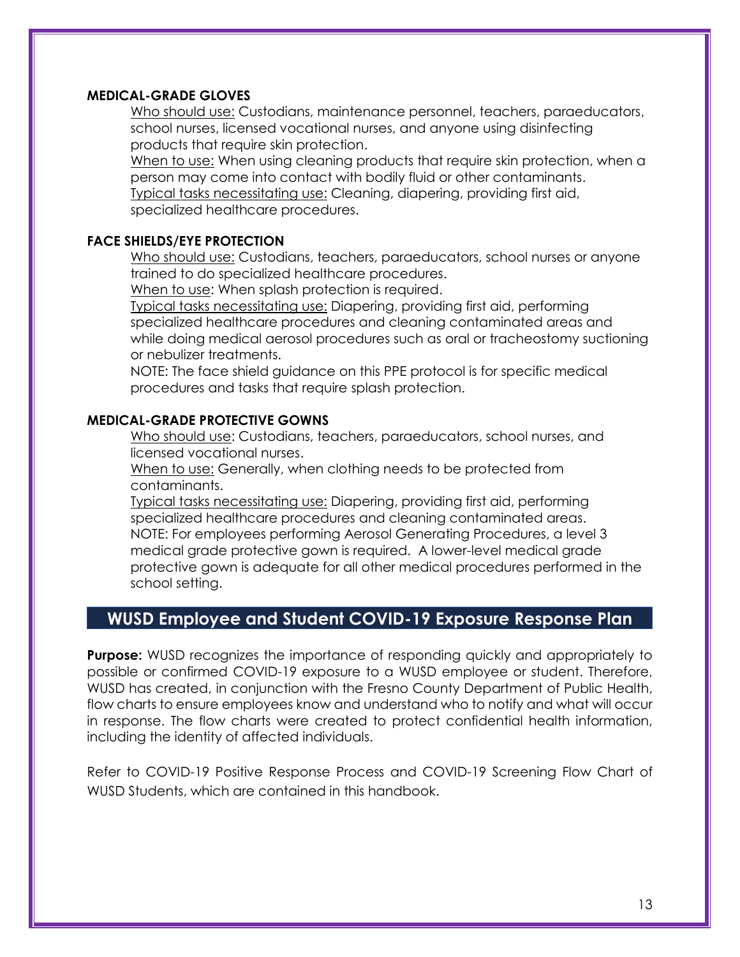#### **MEDICAL-GRADE GLOVES**

Who should use: Custodians, maintenance personnel, teachers, paraeducators, school nurses, licensed vocational nurses, and anyone using disinfecting products that require skin protection.

When to use: When using cleaning products that require skin protection, when a person may come into contact with bodily fluid or other contaminants. Typical tasks necessitating use: Cleaning, diapering, providing first aid, specialized healthcare procedures.

#### **FACE SHIELDS/EYE PROTECTION**

Who should use: Custodians, teachers, paraeducators, school nurses or anyone trained to do specialized healthcare procedures.

When to use: When splash protection is required.

Typical tasks necessitating use: Diapering, providing first aid, performing specialized healthcare procedures and cleaning contaminated areas and while doing medical aerosol procedures such as oral or tracheostomy suctioning or nebulizer treatments.

NOTE: The face shield guidance on this PPE protocol is for specific medical procedures and tasks that require splash protection.

#### **MEDICAL-GRADE PROTECTIVE GOWNS**

Who should use: Custodians, teachers, paraeducators, school nurses, and licensed vocational nurses.

When to use: Generally, when clothing needs to be protected from contaminants.

Typical tasks necessitating use: Diapering, providing first aid, performing specialized healthcare procedures and cleaning contaminated areas. NOTE: For employees performing Aerosol Generating Procedures, a level 3 medical grade protective gown is required. A lower-level medical grade protective gown is adequate for all other medical procedures performed in the school setting.

## <span id="page-12-0"></span>**WUSD Employee and Student COVID-19 Exposure Response Plan**

**Purpose:** WUSD recognizes the importance of responding quickly and appropriately to possible or confirmed COVID-19 exposure to a WUSD employee or student. Therefore, WUSD has created, in conjunction with the Fresno County Department of Public Health, flow charts to ensure employees know and understand who to notify and what will occur in response. The flow charts were created to protect confidential health information, including the identity of affected individuals.

Refer to COVID-19 Positive Response Process and COVID-19 Screening Flow Chart of WUSD Students, which are contained in this handbook.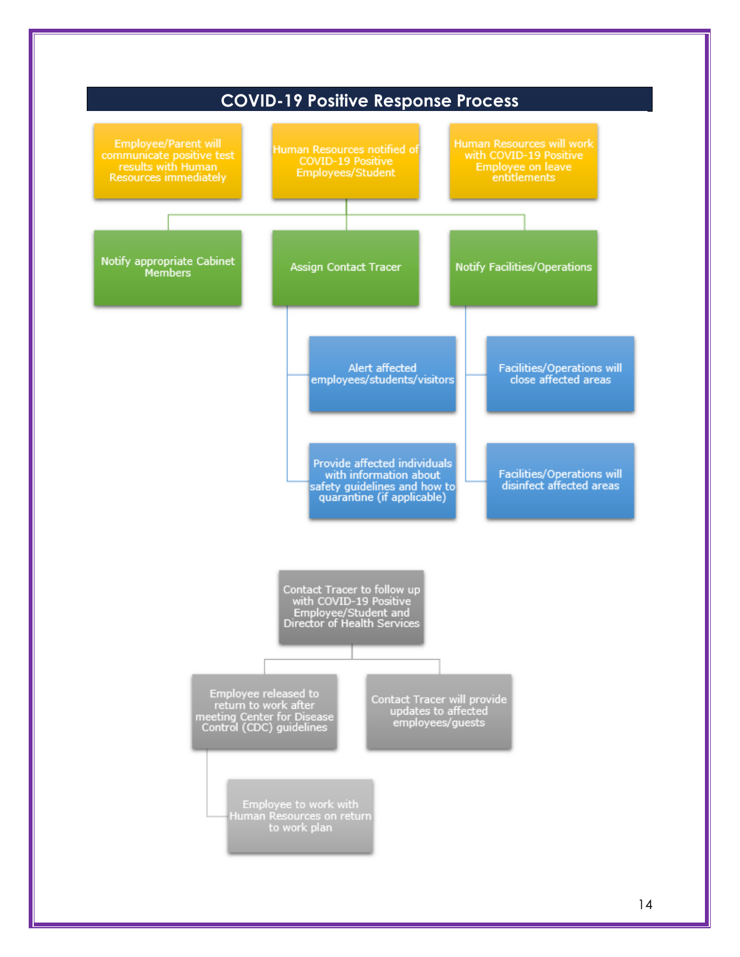<span id="page-13-0"></span>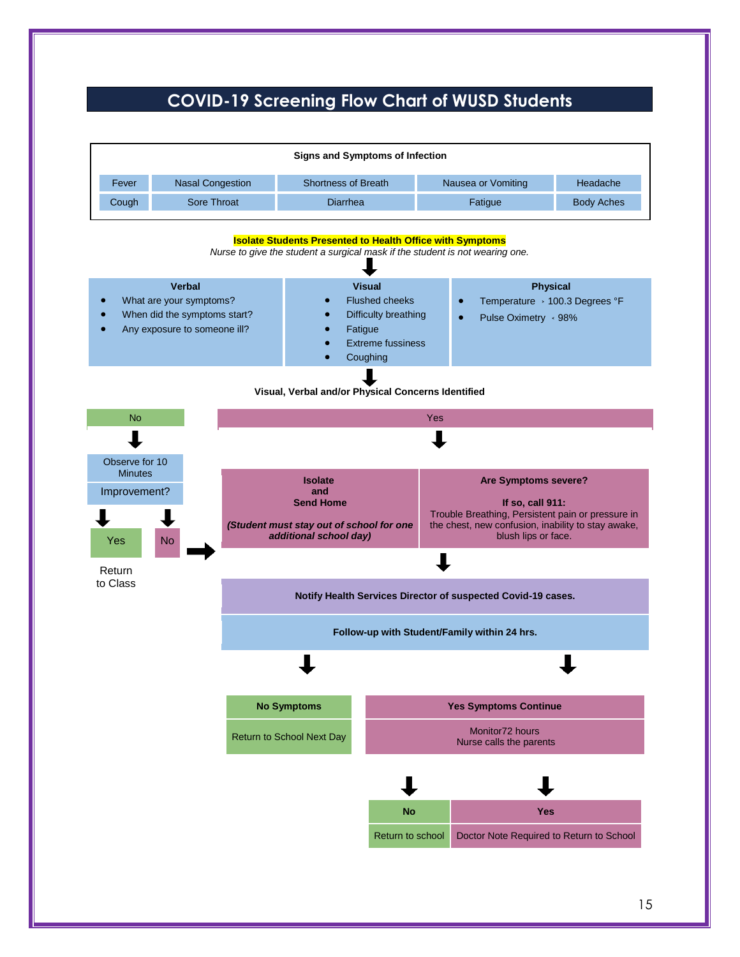## **COVID-19 Screening Flow Chart of WUSD Students**

<span id="page-14-0"></span>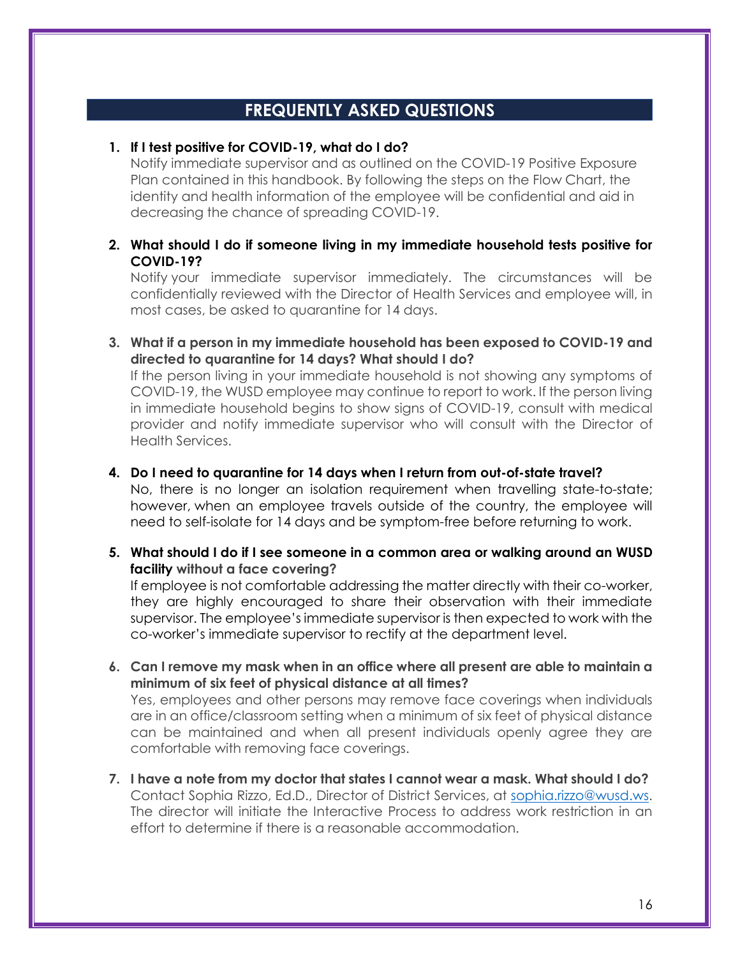## **FREQUENTLY ASKED QUESTIONS**

#### <span id="page-15-0"></span>**1. If I test positive for COVID-19, what do I do?**

Notify immediate supervisor and as outlined on the COVID-19 Positive Exposure Plan contained in this handbook. By following the steps on the Flow Chart, the identity and health information of the employee will be confidential and aid in decreasing the chance of spreading COVID-19.

#### **2. What should I do if someone living in my immediate household tests positive for COVID-19?**

Notify your immediate supervisor immediately. The circumstances will be confidentially reviewed with the Director of Health Services and employee will, in most cases, be asked to quarantine for 14 days.

**3. What if a person in my immediate household has been exposed to COVID-19 and directed to quarantine for 14 days? What should I do?**

If the person living in your immediate household is not showing any symptoms of COVID-19, the WUSD employee may continue to report to work. If the person living in immediate household begins to show signs of COVID-19, consult with medical provider and notify immediate supervisor who will consult with the Director of Health Services.

#### **4. Do I need to quarantine for 14 days when I return from out-of-state travel?**

No, there is no longer an isolation requirement when travelling state-to-state; however, when an employee travels outside of the country, the employee will need to self-isolate for 14 days and be symptom-free before returning to work.

**5. What should I do if I see someone in a common area or walking around an WUSD facility without a face covering?**

If employee is not comfortable addressing the matter directly with their co-worker, they are highly encouraged to share their observation with their immediate supervisor. The employee's immediate supervisor is then expected to work with the co-worker's immediate supervisor to rectify at the department level.

**6. Can I remove my mask when in an office where all present are able to maintain a minimum of six feet of physical distance at all times?**

Yes, employees and other persons may remove face coverings when individuals are in an office/classroom setting when a minimum of six feet of physical distance can be maintained and when all present individuals openly agree they are comfortable with removing face coverings.

**7. I have a note from my doctor that states I cannot wear a mask. What should I do?** Contact Sophia Rizzo, Ed.D., Director of District Services, at [sophia.rizzo@wusd.ws.](mailto:sophia.rizzo@wusd.ws) The director will initiate the Interactive Process to address work restriction in an effort to determine if there is a reasonable accommodation.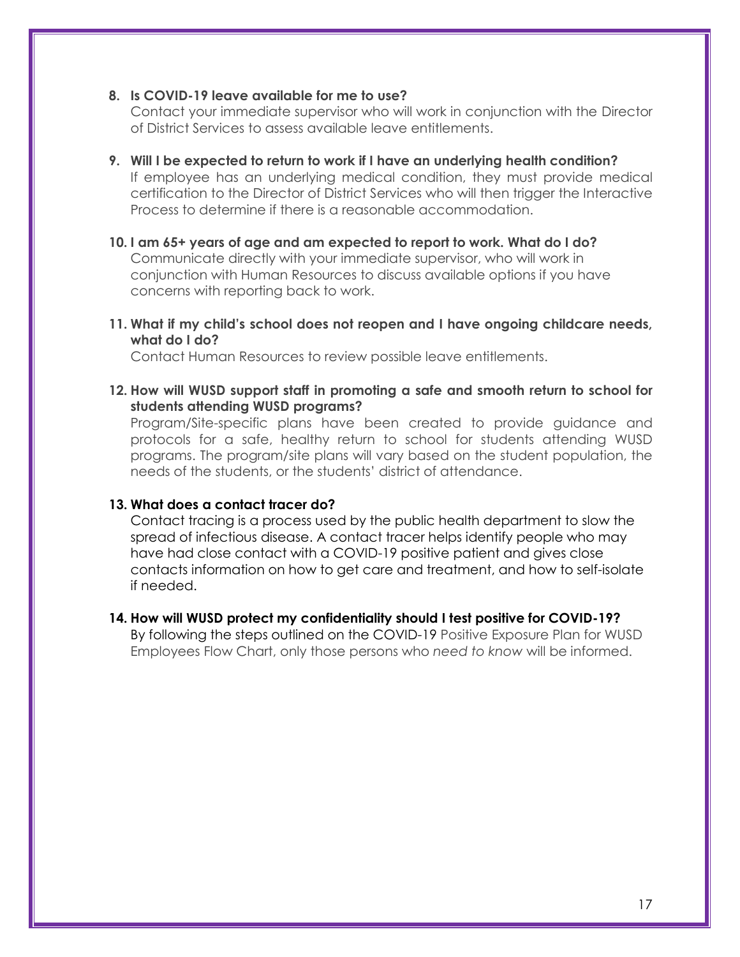#### **8. Is COVID-19 leave available for me to use?**

Contact your immediate supervisor who will work in conjunction with the Director of District Services to assess available leave entitlements.

- **9. Will I be expected to return to work if I have an underlying health condition?** If employee has an underlying medical condition, they must provide medical certification to the Director of District Services who will then trigger the Interactive Process to determine if there is a reasonable accommodation.
- **10. I am 65+ years of age and am expected to report to work. What do I do?** Communicate directly with your immediate supervisor, who will work in conjunction with Human Resources to discuss available options if you have concerns with reporting back to work.
- **11. What if my child's school does not reopen and I have ongoing childcare needs, what do I do?**

Contact Human Resources to review possible leave entitlements.

**12. How will WUSD support staff in promoting a safe and smooth return to school for students attending WUSD programs?**

Program/Site-specific plans have been created to provide guidance and protocols for a safe, healthy return to school for students attending WUSD programs. The program/site plans will vary based on the student population, the needs of the students, or the students' district of attendance.

#### **13. What does a contact tracer do?**

Contact tracing is a process used by the public health department to slow the spread of infectious disease. A contact tracer helps identify people who may have had close contact with a COVID-19 positive patient and gives close contacts information on how to get care and treatment, and how to self-isolate if needed.

#### **14. How will WUSD protect my confidentiality should I test positive for COVID-19?**

By following the steps outlined on the COVID-19 Positive Exposure Plan for WUSD Employees Flow Chart, only those persons who *need to know* will be informed.